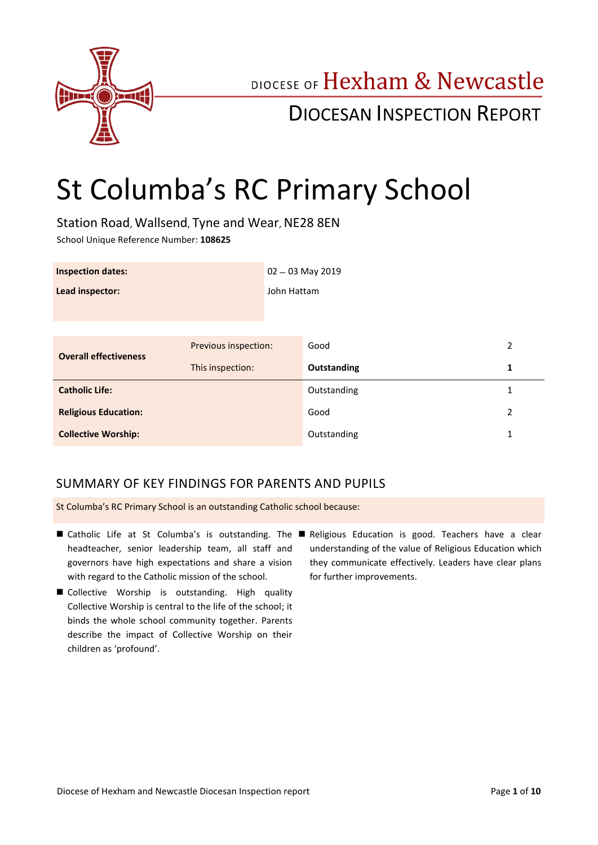

## DIOCESE OF Hexham & Newcastle

## DIOCESAN INSPECTION REPORT

# St Columba's RC Primary School

Station Road, Wallsend, Tyne and Wear, NE28 8EN School Unique Reference Number: **108625**

| <b>Inspection dates:</b>     |                      | $02 - 03$ May 2019 |             |   |
|------------------------------|----------------------|--------------------|-------------|---|
| Lead inspector:              |                      | John Hattam        |             |   |
|                              |                      |                    |             |   |
| <b>Overall effectiveness</b> | Previous inspection: |                    | Good        | 2 |
|                              | This inspection:     |                    | Outstanding | 1 |
| <b>Catholic Life:</b>        |                      |                    | Outstanding | 1 |
| <b>Religious Education:</b>  |                      |                    | Good        | 2 |
| <b>Collective Worship:</b>   |                      |                    | Outstanding | 1 |

## SUMMARY OF KEY FINDINGS FOR PARENTS AND PUPILS

St Columba's RC Primary School is an outstanding Catholic school because:

- Catholic Life at St Columba's is outstanding. The Religious Education is good. Teachers have a clear headteacher, senior leadership team, all staff and governors have high expectations and share a vision with regard to the Catholic mission of the school.
- Collective Worship is outstanding. High quality Collective Worship is central to the life of the school; it binds the whole school community together. Parents describe the impact of Collective Worship on their children as 'profound'.
- understanding of the value of Religious Education which they communicate effectively. Leaders have clear plans for further improvements.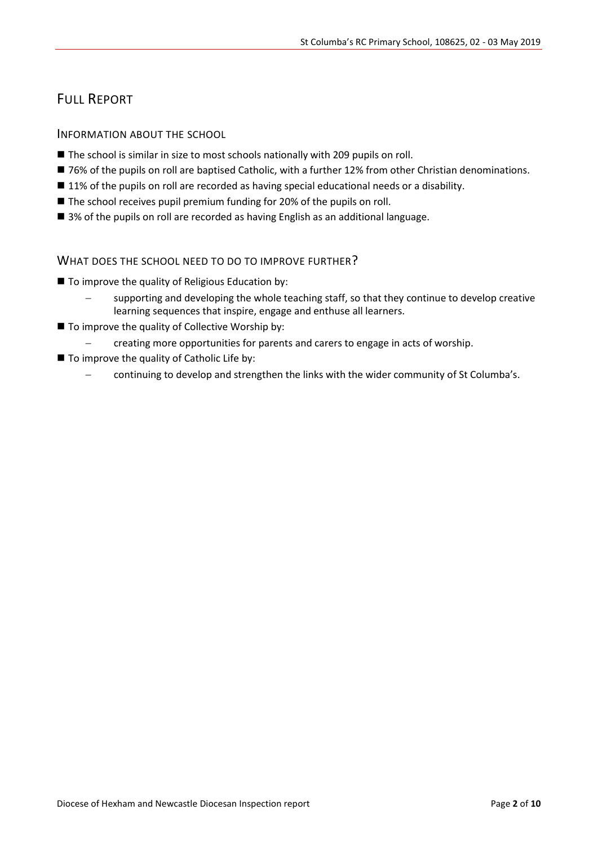## FULL REPORT

#### INFORMATION ABOUT THE SCHOOL

- The school is similar in size to most schools nationally with 209 pupils on roll.
- 76% of the pupils on roll are baptised Catholic, with a further 12% from other Christian denominations.
- 11% of the pupils on roll are recorded as having special educational needs or a disability.
- The school receives pupil premium funding for 20% of the pupils on roll.
- 3% of the pupils on roll are recorded as having English as an additional language.

#### WHAT DOES THE SCHOOL NEED TO DO TO IMPROVE FURTHER?

- To improve the quality of Religious Education by:
	- supporting and developing the whole teaching staff, so that they continue to develop creative learning sequences that inspire, engage and enthuse all learners.
- $\blacksquare$  To improve the quality of Collective Worship by:
	- creating more opportunities for parents and carers to engage in acts of worship.
- $\blacksquare$  To improve the quality of Catholic Life by:
	- continuing to develop and strengthen the links with the wider community of St Columba's.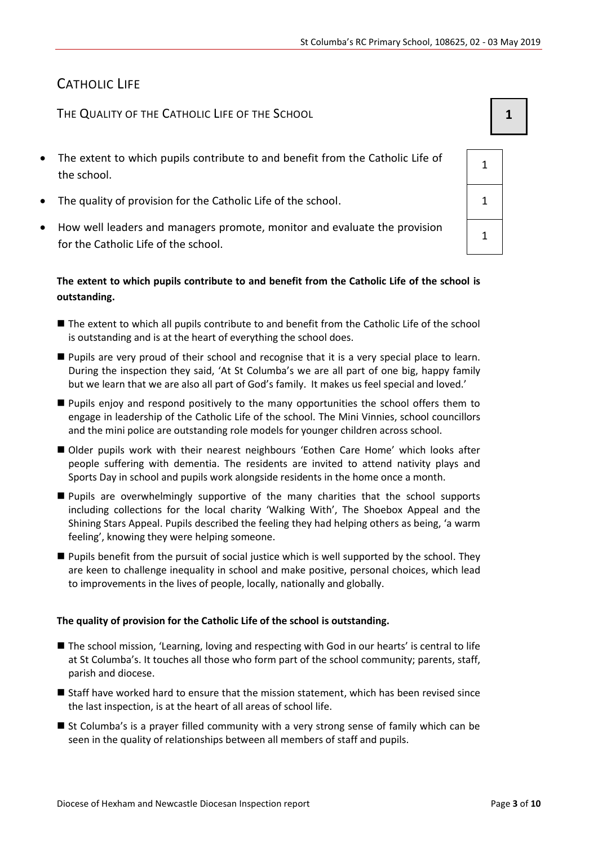## CATHOLIC LIFE

THE QUALITY OF THE CATHOLIC LIFE OF THE SCHOOL **1 1** 

- The extent to which pupils contribute to and benefit from the Catholic Life of the school.
- The quality of provision for the Catholic Life of the school. 1
- How well leaders and managers promote, monitor and evaluate the provision for the Catholic Life of the school.

#### **The extent to which pupils contribute to and benefit from the Catholic Life of the school is outstanding.**

- The extent to which all pupils contribute to and benefit from the Catholic Life of the school is outstanding and is at the heart of everything the school does.
- Pupils are very proud of their school and recognise that it is a very special place to learn. During the inspection they said, 'At St Columba's we are all part of one big, happy family but we learn that we are also all part of God's family. It makes us feel special and loved.'
- **Pupils enjoy and respond positively to the many opportunities the school offers them to** engage in leadership of the Catholic Life of the school. The Mini Vinnies, school councillors and the mini police are outstanding role models for younger children across school.
- Older pupils work with their nearest neighbours 'Eothen Care Home' which looks after people suffering with dementia. The residents are invited to attend nativity plays and Sports Day in school and pupils work alongside residents in the home once a month.
- Pupils are overwhelmingly supportive of the many charities that the school supports including collections for the local charity 'Walking With', The Shoebox Appeal and the Shining Stars Appeal. Pupils described the feeling they had helping others as being, 'a warm feeling', knowing they were helping someone.
- Pupils benefit from the pursuit of social justice which is well supported by the school. They are keen to challenge inequality in school and make positive, personal choices, which lead to improvements in the lives of people, locally, nationally and globally.

#### **The quality of provision for the Catholic Life of the school is outstanding.**

- The school mission, 'Learning, loving and respecting with God in our hearts' is central to life at St Columba's. It touches all those who form part of the school community; parents, staff, parish and diocese.
- Staff have worked hard to ensure that the mission statement, which has been revised since the last inspection, is at the heart of all areas of school life.
- St Columba's is a prayer filled community with a very strong sense of family which can be seen in the quality of relationships between all members of staff and pupils.

| 1              |  |
|----------------|--|
| $\mathbf 1$    |  |
| $\overline{1}$ |  |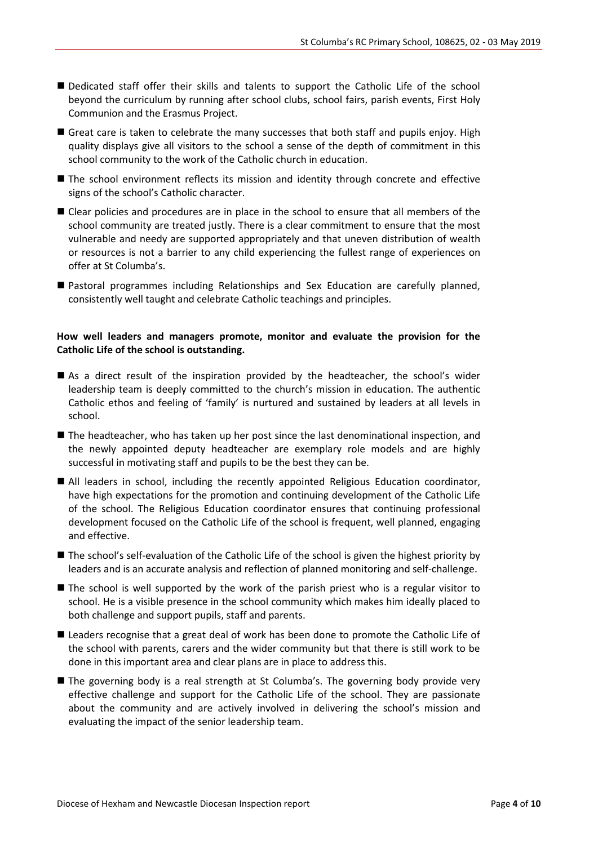- Dedicated staff offer their skills and talents to support the Catholic Life of the school beyond the curriculum by running after school clubs, school fairs, parish events, First Holy Communion and the Erasmus Project.
- Great care is taken to celebrate the many successes that both staff and pupils enjoy. High quality displays give all visitors to the school a sense of the depth of commitment in this school community to the work of the Catholic church in education.
- **The school environment reflects its mission and identity through concrete and effective** signs of the school's Catholic character.
- Clear policies and procedures are in place in the school to ensure that all members of the school community are treated justly. There is a clear commitment to ensure that the most vulnerable and needy are supported appropriately and that uneven distribution of wealth or resources is not a barrier to any child experiencing the fullest range of experiences on offer at St Columba's.
- Pastoral programmes including Relationships and Sex Education are carefully planned, consistently well taught and celebrate Catholic teachings and principles.

#### **How well leaders and managers promote, monitor and evaluate the provision for the Catholic Life of the school is outstanding.**

- As a direct result of the inspiration provided by the headteacher, the school's wider leadership team is deeply committed to the church's mission in education. The authentic Catholic ethos and feeling of 'family' is nurtured and sustained by leaders at all levels in school.
- The headteacher, who has taken up her post since the last denominational inspection, and the newly appointed deputy headteacher are exemplary role models and are highly successful in motivating staff and pupils to be the best they can be.
- All leaders in school, including the recently appointed Religious Education coordinator, have high expectations for the promotion and continuing development of the Catholic Life of the school. The Religious Education coordinator ensures that continuing professional development focused on the Catholic Life of the school is frequent, well planned, engaging and effective.
- The school's self-evaluation of the Catholic Life of the school is given the highest priority by leaders and is an accurate analysis and reflection of planned monitoring and self-challenge.
- The school is well supported by the work of the parish priest who is a regular visitor to school. He is a visible presence in the school community which makes him ideally placed to both challenge and support pupils, staff and parents.
- Leaders recognise that a great deal of work has been done to promote the Catholic Life of the school with parents, carers and the wider community but that there is still work to be done in this important area and clear plans are in place to address this.
- The governing body is a real strength at St Columba's. The governing body provide very effective challenge and support for the Catholic Life of the school. They are passionate about the community and are actively involved in delivering the school's mission and evaluating the impact of the senior leadership team.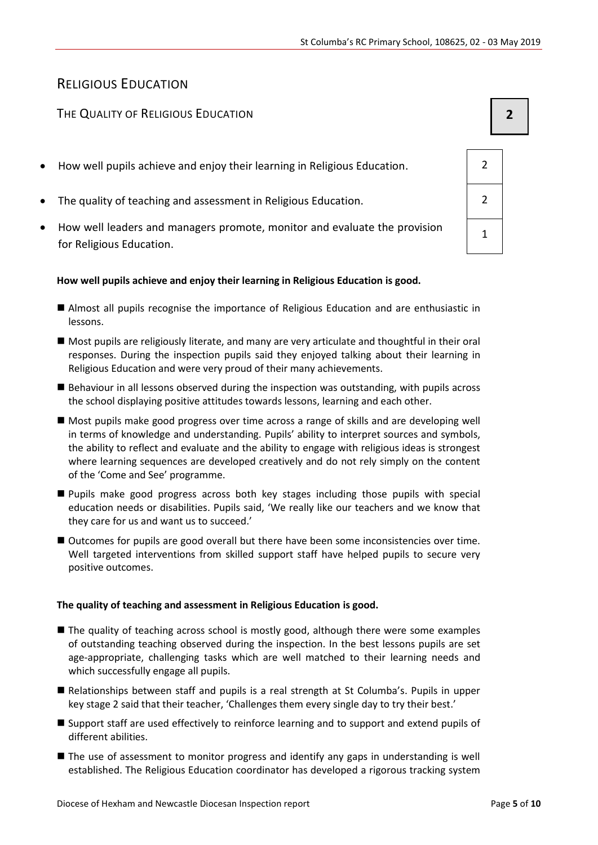## RELIGIOUS EDUCATION

### THE QUALITY OF RELIGIOUS EDUCATION **2**

- How well pupils achieve and enjoy their learning in Religious Education. 2
- The quality of teaching and assessment in Religious Education. 2
- How well leaders and managers promote, monitor and evaluate the provision for Religious Education.

#### **How well pupils achieve and enjoy their learning in Religious Education is good.**

- Almost all pupils recognise the importance of Religious Education and are enthusiastic in lessons.
- Most pupils are religiously literate, and many are very articulate and thoughtful in their oral responses. During the inspection pupils said they enjoyed talking about their learning in Religious Education and were very proud of their many achievements.
- Behaviour in all lessons observed during the inspection was outstanding, with pupils across the school displaying positive attitudes towards lessons, learning and each other.
- Most pupils make good progress over time across a range of skills and are developing well in terms of knowledge and understanding. Pupils' ability to interpret sources and symbols, the ability to reflect and evaluate and the ability to engage with religious ideas is strongest where learning sequences are developed creatively and do not rely simply on the content of the 'Come and See' programme.
- Pupils make good progress across both key stages including those pupils with special education needs or disabilities. Pupils said, 'We really like our teachers and we know that they care for us and want us to succeed.'
- Outcomes for pupils are good overall but there have been some inconsistencies over time. Well targeted interventions from skilled support staff have helped pupils to secure very positive outcomes.

#### **The quality of teaching and assessment in Religious Education is good.**

- The quality of teaching across school is mostly good, although there were some examples of outstanding teaching observed during the inspection. In the best lessons pupils are set age-appropriate, challenging tasks which are well matched to their learning needs and which successfully engage all pupils.
- Relationships between staff and pupils is a real strength at St Columba's. Pupils in upper key stage 2 said that their teacher, 'Challenges them every single day to try their best.'
- Support staff are used effectively to reinforce learning and to support and extend pupils of different abilities.
- **The use of assessment to monitor progress and identify any gaps in understanding is well** established. The Religious Education coordinator has developed a rigorous tracking system

| $\overline{2}$ |  |
|----------------|--|
| $\overline{2}$ |  |
| $\overline{1}$ |  |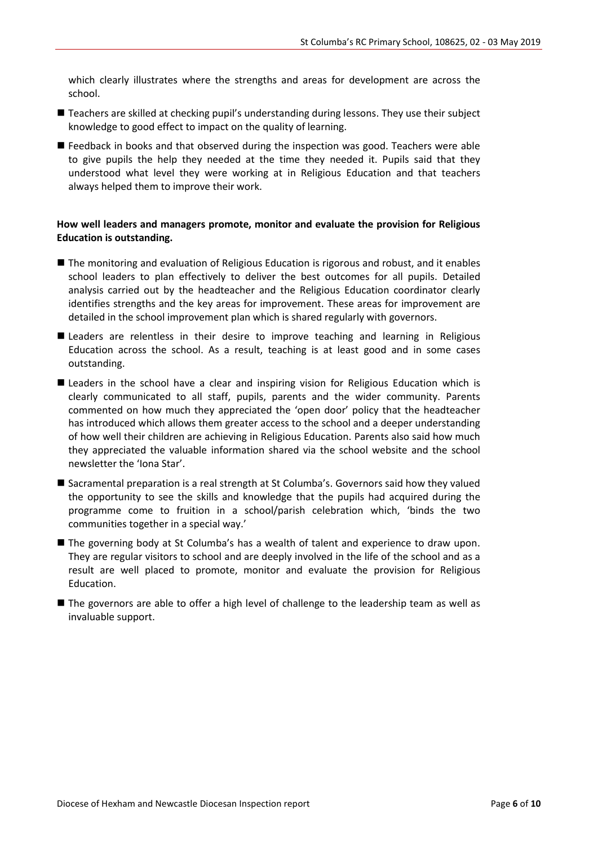which clearly illustrates where the strengths and areas for development are across the school.

- Teachers are skilled at checking pupil's understanding during lessons. They use their subject knowledge to good effect to impact on the quality of learning.
- **E** Feedback in books and that observed during the inspection was good. Teachers were able to give pupils the help they needed at the time they needed it. Pupils said that they understood what level they were working at in Religious Education and that teachers always helped them to improve their work.

#### **How well leaders and managers promote, monitor and evaluate the provision for Religious Education is outstanding.**

- The monitoring and evaluation of Religious Education is rigorous and robust, and it enables school leaders to plan effectively to deliver the best outcomes for all pupils. Detailed analysis carried out by the headteacher and the Religious Education coordinator clearly identifies strengths and the key areas for improvement. These areas for improvement are detailed in the school improvement plan which is shared regularly with governors.
- Leaders are relentless in their desire to improve teaching and learning in Religious Education across the school. As a result, teaching is at least good and in some cases outstanding.
- Leaders in the school have a clear and inspiring vision for Religious Education which is clearly communicated to all staff, pupils, parents and the wider community. Parents commented on how much they appreciated the 'open door' policy that the headteacher has introduced which allows them greater access to the school and a deeper understanding of how well their children are achieving in Religious Education. Parents also said how much they appreciated the valuable information shared via the school website and the school newsletter the 'Iona Star'.
- Sacramental preparation is a real strength at St Columba's. Governors said how they valued the opportunity to see the skills and knowledge that the pupils had acquired during the programme come to fruition in a school/parish celebration which, 'binds the two communities together in a special way.'
- The governing body at St Columba's has a wealth of talent and experience to draw upon. They are regular visitors to school and are deeply involved in the life of the school and as a result are well placed to promote, monitor and evaluate the provision for Religious Education.
- The governors are able to offer a high level of challenge to the leadership team as well as invaluable support.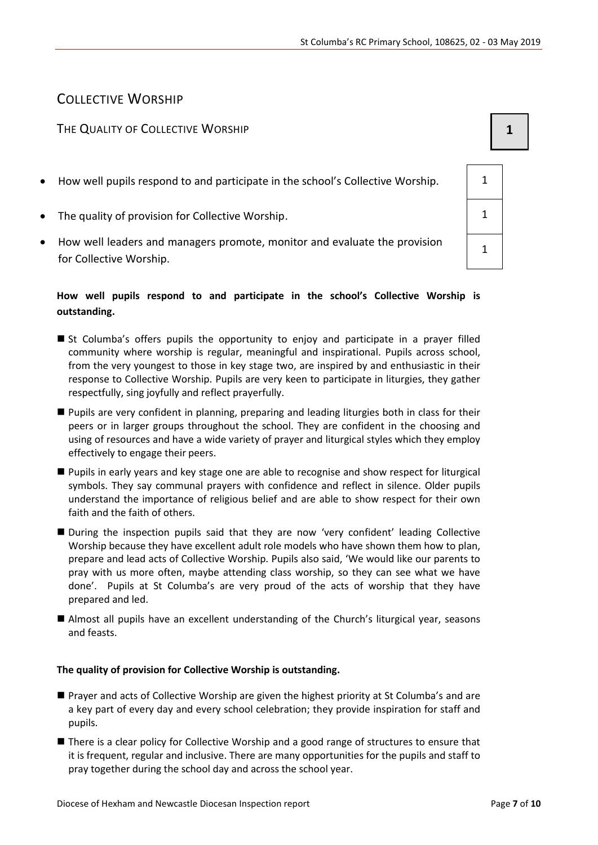## COLLECTIVE WORSHIP

## THE QUALITY OF COLLECTIVE WORSHIP **1 1**

- How well pupils respond to and participate in the school's Collective Worship.  $\vert$  1
- The quality of provision for Collective Worship. 1
- How well leaders and managers promote, monitor and evaluate the provision for Collective Worship.

## **How well pupils respond to and participate in the school's Collective Worship is outstanding.**

- St Columba's offers pupils the opportunity to enjoy and participate in a prayer filled community where worship is regular, meaningful and inspirational. Pupils across school, from the very youngest to those in key stage two, are inspired by and enthusiastic in their response to Collective Worship. Pupils are very keen to participate in liturgies, they gather respectfully, sing joyfully and reflect prayerfully.
- Pupils are very confident in planning, preparing and leading liturgies both in class for their peers or in larger groups throughout the school. They are confident in the choosing and using of resources and have a wide variety of prayer and liturgical styles which they employ effectively to engage their peers.
- Pupils in early years and key stage one are able to recognise and show respect for liturgical symbols. They say communal prayers with confidence and reflect in silence. Older pupils understand the importance of religious belief and are able to show respect for their own faith and the faith of others.
- During the inspection pupils said that they are now 'very confident' leading Collective Worship because they have excellent adult role models who have shown them how to plan, prepare and lead acts of Collective Worship. Pupils also said, 'We would like our parents to pray with us more often, maybe attending class worship, so they can see what we have done'. Pupils at St Columba's are very proud of the acts of worship that they have prepared and led.
- Almost all pupils have an excellent understanding of the Church's liturgical year, seasons and feasts.

## **The quality of provision for Collective Worship is outstanding.**

- Prayer and acts of Collective Worship are given the highest priority at St Columba's and are a key part of every day and every school celebration; they provide inspiration for staff and pupils.
- There is a clear policy for Collective Worship and a good range of structures to ensure that it is frequent, regular and inclusive. There are many opportunities for the pupils and staff to pray together during the school day and across the school year.

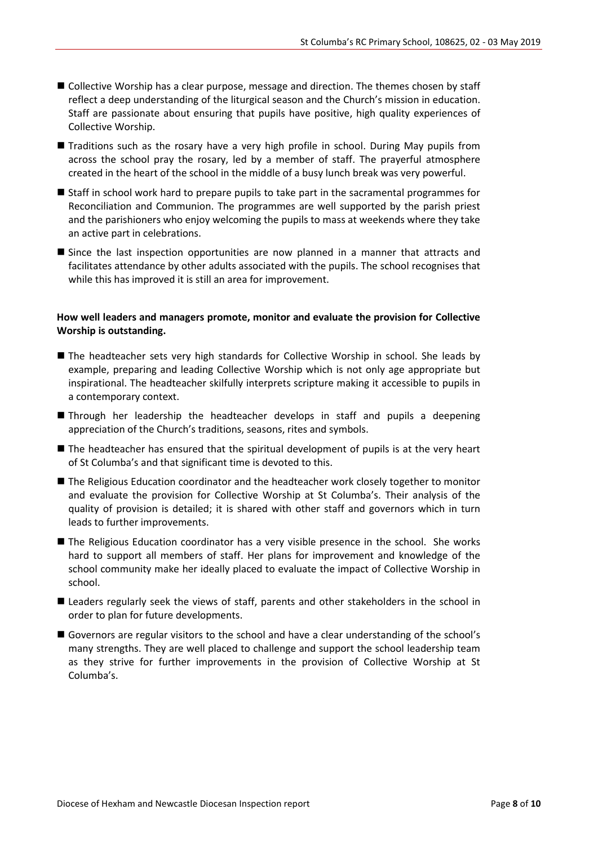- Collective Worship has a clear purpose, message and direction. The themes chosen by staff reflect a deep understanding of the liturgical season and the Church's mission in education. Staff are passionate about ensuring that pupils have positive, high quality experiences of Collective Worship.
- **Traditions such as the rosary have a very high profile in school. During May pupils from** across the school pray the rosary, led by a member of staff. The prayerful atmosphere created in the heart of the school in the middle of a busy lunch break was very powerful.
- Staff in school work hard to prepare pupils to take part in the sacramental programmes for Reconciliation and Communion. The programmes are well supported by the parish priest and the parishioners who enjoy welcoming the pupils to mass at weekends where they take an active part in celebrations.
- Since the last inspection opportunities are now planned in a manner that attracts and facilitates attendance by other adults associated with the pupils. The school recognises that while this has improved it is still an area for improvement.

#### **How well leaders and managers promote, monitor and evaluate the provision for Collective Worship is outstanding.**

- The headteacher sets very high standards for Collective Worship in school. She leads by example, preparing and leading Collective Worship which is not only age appropriate but inspirational. The headteacher skilfully interprets scripture making it accessible to pupils in a contemporary context.
- Through her leadership the headteacher develops in staff and pupils a deepening appreciation of the Church's traditions, seasons, rites and symbols.
- The headteacher has ensured that the spiritual development of pupils is at the very heart of St Columba's and that significant time is devoted to this.
- The Religious Education coordinator and the headteacher work closely together to monitor and evaluate the provision for Collective Worship at St Columba's. Their analysis of the quality of provision is detailed; it is shared with other staff and governors which in turn leads to further improvements.
- The Religious Education coordinator has a very visible presence in the school. She works hard to support all members of staff. Her plans for improvement and knowledge of the school community make her ideally placed to evaluate the impact of Collective Worship in school.
- Leaders regularly seek the views of staff, parents and other stakeholders in the school in order to plan for future developments.
- Governors are regular visitors to the school and have a clear understanding of the school's many strengths. They are well placed to challenge and support the school leadership team as they strive for further improvements in the provision of Collective Worship at St Columba's.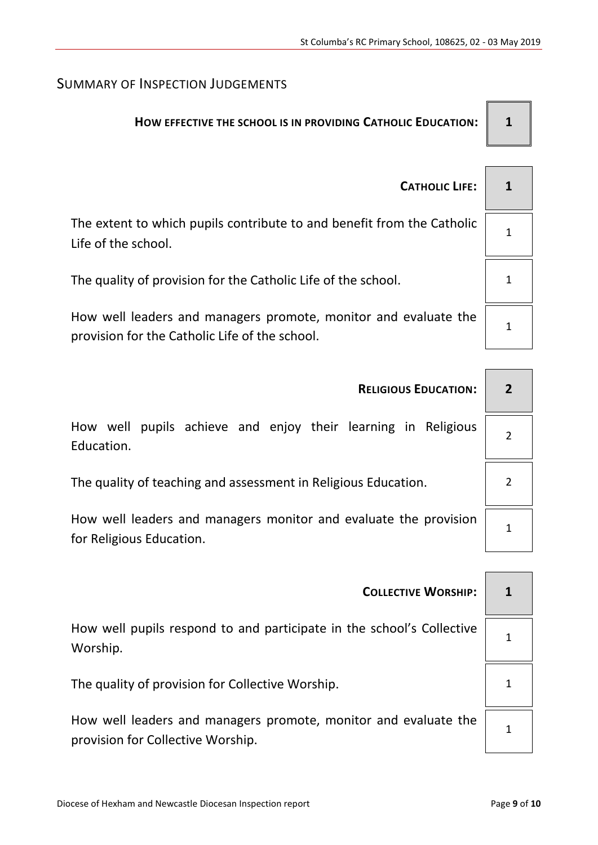## SUMMARY OF INSPECTION JUDGEMENTS

## **HOW EFFECTIVE THE SCHOOL IS IN PROVIDING CATHOLIC EDUCATION: 1**

| <b>CATHOLIC LIFE:</b>                                                                                             |  |
|-------------------------------------------------------------------------------------------------------------------|--|
| The extent to which pupils contribute to and benefit from the Catholic<br>Life of the school.                     |  |
| The quality of provision for the Catholic Life of the school.                                                     |  |
| How well leaders and managers promote, monitor and evaluate the<br>provision for the Catholic Life of the school. |  |

| <b>RELIGIOUS EDUCATION:</b>                                                                  |  |
|----------------------------------------------------------------------------------------------|--|
| pupils achieve and enjoy their learning in Religious<br>How well<br>Education.               |  |
| The quality of teaching and assessment in Religious Education.                               |  |
| How well leaders and managers monitor and evaluate the provision<br>for Religious Education. |  |
|                                                                                              |  |

| <b>COLLECTIVE WORSHIP:</b>                                                                           |  |
|------------------------------------------------------------------------------------------------------|--|
| How well pupils respond to and participate in the school's Collective<br>Worship.                    |  |
| The quality of provision for Collective Worship.                                                     |  |
| How well leaders and managers promote, monitor and evaluate the<br>provision for Collective Worship. |  |
|                                                                                                      |  |